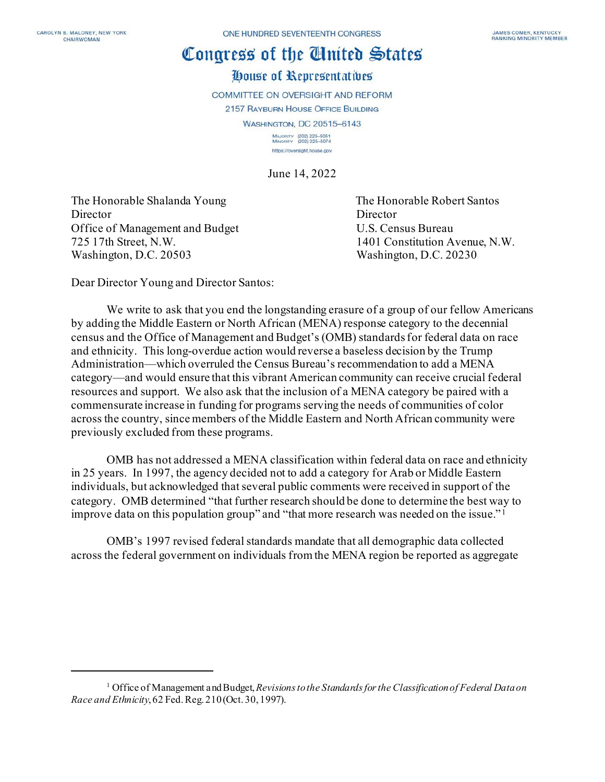## Congress of the Cluited States

## House of Representatives

COMMITTEE ON OVERSIGHT AND REFORM

2157 RAYBURN HOUSE OFFICE BUILDING

**WASHINGTON, DC 20515-6143** 

MAJORITY (202) 225-5051<br>MINORITY (202) 225-5074 https://oversight.house.gov

June 14, 2022

The Honorable Shalanda Young The Honorable Robert Santos Director Director Director Office of Management and Budget U.S. Census Bureau 725 17th Street, N.W. 1401 Constitution Avenue, N.W. Washington, D.C. 20503 Washington, D.C. 20230

Dear Director Young and Director Santos:

We write to ask that you end the longstanding erasure of a group of our fellow Americans by adding the Middle Eastern or North African (MENA) response category to the decennial census and the Office of Management and Budget's (OMB) standards for federal data on race and ethnicity. This long-overdue action would reverse a baseless decision by the Trump Administration—which overruled the Census Bureau's recommendation to add a MENA category—and would ensure that this vibrant American community can receive crucial federal resources and support. We also ask that the inclusion of a MENA category be paired with a commensurate increase in funding for programs serving the needs of communities of color across the country, since members of the Middle Eastern and North African community were previously excluded from these programs.

OMB has not addressed a MENA classification within federal data on race and ethnicity in 25 years. In 1997, the agency decided not to add a category for Arab or Middle Eastern individuals, but acknowledged that several public comments were received in support of the category. OMB determined "that further research should be done to determine the best way to improve data on this population group" and "that more research was needed on the issue." [1](#page-0-0)

OMB's 1997 revised federal standards mandate that all demographic data collected across the federal government on individuals from the MENA region be reported as aggregate

<span id="page-0-0"></span><sup>1</sup> Office of Management and Budget, *Revisions to the Standards for the Classification of Federal Data on Race and Ethnicity*, 62 Fed. Reg. 210(Oct. 30, 1997).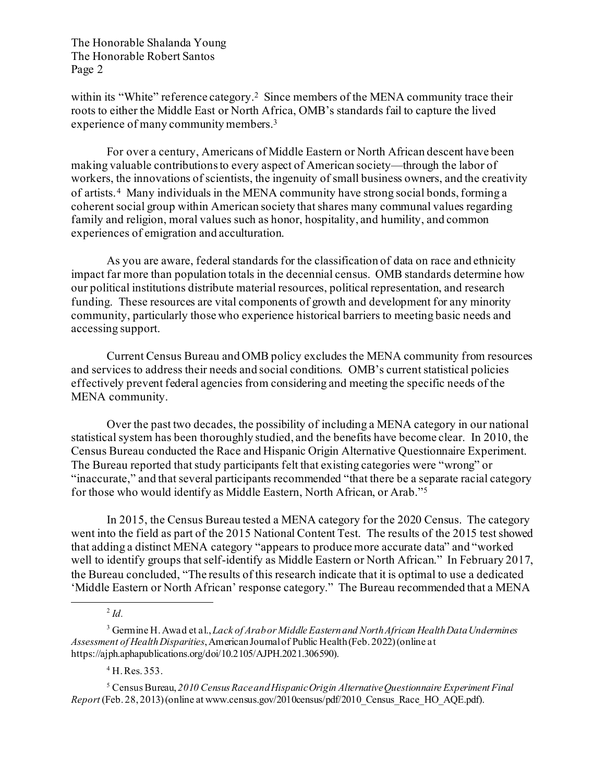The Honorable Shalanda Young The Honorable Robert Santos Page 2

within its "White" reference category.<sup>[2](#page-1-0)</sup> Since members of the MENA community trace their roots to either the Middle East or North Africa, OMB's standards fail to capture the lived experience of many community members.<sup>[3](#page-1-1)</sup>

For over a century, Americans of Middle Eastern or North African descent have been making valuable contributions to every aspect of American society—through the labor of workers, the innovations of scientists, the ingenuity of small business owners, and the creativity of artists. [4](#page-1-2) Many individuals in the MENA community have strong social bonds, forming a coherent social group within American society that shares many communal values regarding family and religion, moral values such as honor, hospitality, and humility, and common experiences of emigration and acculturation.

As you are aware, federal standards for the classification of data on race and ethnicity impact far more than population totals in the decennial census. OMB standards determine how our political institutions distribute material resources, political representation, and research funding. These resources are vital components of growth and development for any minority community, particularly those who experience historical barriers to meeting basic needs and accessing support.

Current Census Bureau and OMB policy excludes the MENA community from resources and services to address their needs and social conditions. OMB's current statistical policies effectively prevent federal agencies from considering and meeting the specific needs of the MENA community.

Over the past two decades, the possibility of including a MENA category in our national statistical system has been thoroughly studied, and the benefits have become clear. In 2010, the Census Bureau conducted the Race and Hispanic Origin Alternative Questionnaire Experiment. The Bureau reported that study participants felt that existing categories were "wrong" or "inaccurate," and that several participants recommended "that there be a separate racial category for those who would identify as Middle Eastern, North African, or Arab."[5](#page-1-3)

In 2015, the Census Bureau tested a MENA category for the 2020 Census. The category went into the field as part of the 2015 National Content Test. The results of the 2015 test showed that adding a distinct MENA category "appears to produce more accurate data" and "worked well to identify groups that self-identify as Middle Eastern or North African." In February 2017, the Bureau concluded, "The results of this research indicate that it is optimal to use a dedicated 'Middle Eastern or North African' response category." The Bureau recommended that a MENA

<sup>4</sup> H. Res. 353.

<span id="page-1-3"></span><span id="page-1-2"></span><sup>5</sup> Census Bureau, *2010 Census Race and Hispanic Origin Alternative Questionnaire Experiment Final Report* (Feb. 28, 2013) (online at www.census.gov/2010census/pdf/2010 Census Race HO AQE.pdf).

<sup>2</sup> *Id.*

<span id="page-1-1"></span><span id="page-1-0"></span><sup>3</sup> Germine H. Awad et al., *Lack of Arab or Middle Eastern and North African Health Data Undermines Assessment of Health Disparities*,American Journal of Public Health (Feb. 2022) (online at https://ajph.aphapublications.org/doi/10.2105/AJPH.2021.306590).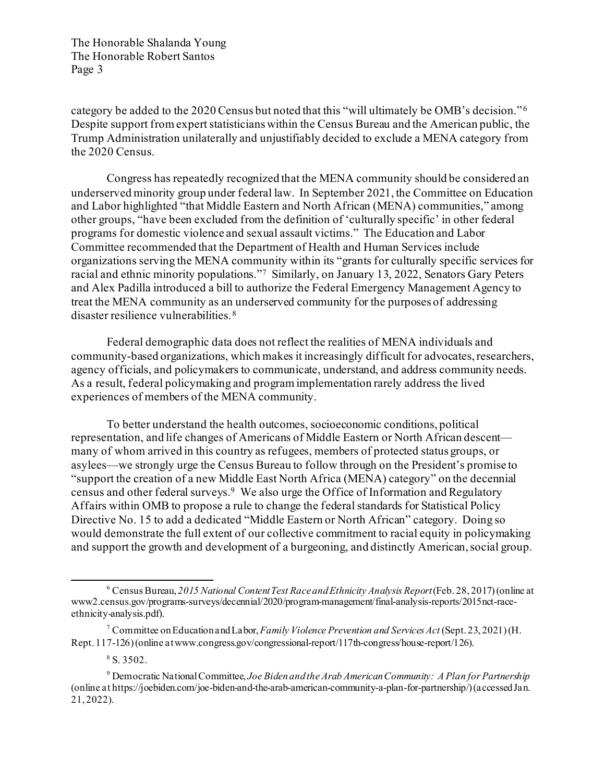The Honorable Shalanda Young The Honorable Robert Santos Page 3

category be added to the 2020 Census but noted that this "will ultimately be OMB's decision."<sup>6</sup> Despite support from expert statisticians within the Census Bureau and the American public, the Trump Administration unilaterally and unjustifiably decided to exclude a MENA category from the 2020 Census.

Congress has repeatedly recognized that the MENA community should be considered an underserved minority group under federal law. In September 2021, the Committee on Education and Labor highlighted "that Middle Eastern and North African (MENA) communities," among other groups, "have been excluded from the definition of 'culturally specific' in other federal programs for domestic violence and sexual assault victims." The Education and Labor Committee recommended that the Department of Health and Human Services include organizations serving the MENA community within its "grants for culturally specific services for racial and ethnic minority populations."[7](#page-2-1) Similarly, on January 13, 2022, Senators Gary Peters and Alex Padilla introduced a bill to authorize the Federal Emergency Management Agency to treat the MENA community as an underserved community for the purposes of addressing disaster resilience vulnerabilities.[8](#page-2-2)

Federal demographic data does not reflect the realities of MENA individuals and community-based organizations, which makes it increasingly difficult for advocates, researchers, agency officials, and policymakers to communicate, understand, and address community needs. As a result, federal policymaking and program implementation rarely address the lived experiences of members of the MENA community.

To better understand the health outcomes, socioeconomic conditions, political representation, and life changes of Americans of Middle Eastern or North African descent many of whom arrived in this country as refugees, members of protected status groups, or asylees—we strongly urge the Census Bureau to follow through on the President's promise to "support the creation of a new Middle East North Africa (MENA) category" on the decennial census and other federal surveys.[9](#page-2-3) We also urge the Office of Information and Regulatory Affairs within OMB to propose a rule to change the federal standards for Statistical Policy Directive No. 15 to add a dedicated "Middle Eastern or North African" category. Doing so would demonstrate the full extent of our collective commitment to racial equity in policymaking and support the growth and development of a burgeoning, and distinctly American, social group.

<span id="page-2-0"></span><sup>6</sup> Census Bureau, *2015 National Content Test Race and Ethnicity Analysis Report*(Feb. 28, 2017) (online at www2.census.gov/programs-surveys/decennial/2020/program-management/final-analysis-reports/2015nct-raceethnicity-analysis.pdf).

<span id="page-2-1"></span><sup>7</sup> Committee on Education and Labor, *Family Violence Prevention and Services Act* (Sept. 23, 2021) (H. Rept. 117-126)(online at www.congress.gov/congressional-report/117th-congress/house-report/126).

 $8 S. 3502.$ 

<span id="page-2-3"></span><span id="page-2-2"></span><sup>9</sup> Democratic National Committee, *Joe Biden and the Arab American Community: A Plan for Partnership* (online at https://joebiden.com/joe-biden-and-the-arab-american-community-a-plan-for-partnership/) (accessed Jan. 21, 2022).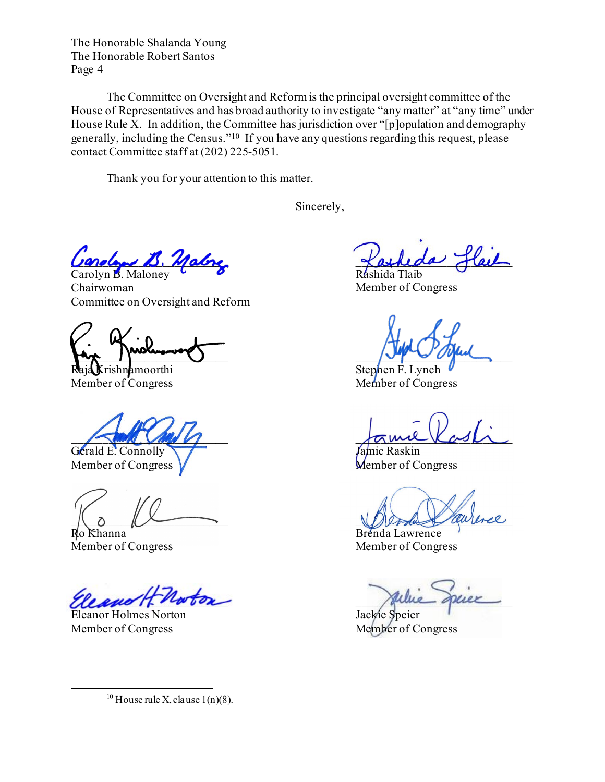The Honorable Shalanda Young The Honorable Robert Santos Page 4

The Committee on Oversight and Reform is the principal oversight committee of the House of Representatives and has broad authority to investigate "any matter" at "any time" under House Rule X. In addition, the Committee has jurisdiction over "[p]opulation and demography generally, including the Census.["10](#page-3-0) If you have any questions regarding this request, please contact Committee staff at (202) 225-5051.

Thank you for your attention to this matter.

Sincerely,

Uardon B. Malne Carolyn B. Maloney

Chairwoman Committee on Oversight and Reform

Art 1 hours of 2 minutes of the Colombia

Member of Congress

Gerald E. Connolly Camera and Tamie Raskin

Member of Congress V and Member of Congress

Ro Khanna Brenda Lawrence

 $\chi_{\ell\ell\ell\ell\ell\ell\ell}$  ,  $\chi_{\ell\ell\ell\ell\ell\ell\ell}$ 

Eleanor Holmes Norton Jackie Speier Member of Congress Member of Congress

<span id="page-3-0"></span><sup>10</sup> House rule X, clause  $1(n)(8)$ .

 $\ell$ ael

Rashida Tlaib Member of Congress

**K**rishnamoorthi Stephen F. Lynch V<br>her of Congress Member of Congress

 $\sqrt{2}$ 

 $M$  on  $M$  and  $M$  and  $M$ 

Member of Congress Member of Congress